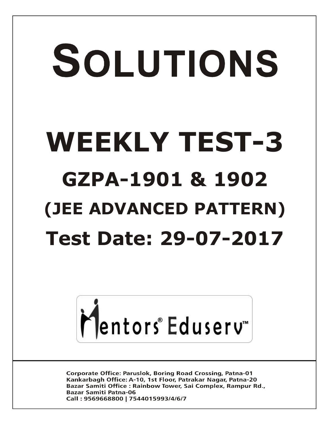# SOLUTIONS **WEEKLY TEST-3 GZPA-1901 & 1902 (JEE ADVANCED PATTERN) Test Date: 29-07-2017**



**Corporate Office: Paruslok, Boring Road Crossing, Patna-01** Kankarbagh Office: A-10, 1st Floor, Patrakar Nagar, Patna-20 Bazar Samiti Office: Rainbow Tower, Sai Complex, Rampur Rd., **Bazar Samiti Patna-06** Call: 9569668800 | 7544015993/4/6/7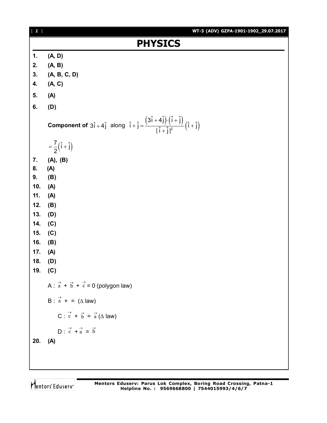| $[2]$          | WT-3 (ADV) GZPA-1901-1902_29.07.2017                                                                                                                                    |  |
|----------------|-------------------------------------------------------------------------------------------------------------------------------------------------------------------------|--|
| <b>PHYSICS</b> |                                                                                                                                                                         |  |
| 1.             | (A, D)                                                                                                                                                                  |  |
| 2.             | (A, B)                                                                                                                                                                  |  |
| 3.             | (A, B, C, D)                                                                                                                                                            |  |
| 4.             | (A, C)                                                                                                                                                                  |  |
| 5.             | (A)                                                                                                                                                                     |  |
| 6.             | (D)                                                                                                                                                                     |  |
|                | <b>Component of</b> $3\hat{i} + 4\hat{j}$ along $\hat{i} + \hat{j} = \frac{(3\hat{i} + 4\hat{j}) \cdot (\hat{i} + \hat{j})}{ \hat{i} + \hat{i} ^2} (\hat{i} + \hat{j})$ |  |
|                | $=\frac{7}{2}(\hat{i}+\hat{j})$                                                                                                                                         |  |
| 7.             | (A), (B)                                                                                                                                                                |  |
| 8.             | (A)                                                                                                                                                                     |  |
| 9.             | (B)                                                                                                                                                                     |  |
| 10.            | (A)                                                                                                                                                                     |  |
| 11.            | (A)                                                                                                                                                                     |  |
| 12.            | (B)                                                                                                                                                                     |  |
| 13.            | (D)                                                                                                                                                                     |  |
| 14.            | (C)                                                                                                                                                                     |  |
| 15.            | (C)                                                                                                                                                                     |  |
| 16.            | (B)                                                                                                                                                                     |  |
| 17.            | (A)                                                                                                                                                                     |  |
| 18.<br>19.     | (D)<br>(C)                                                                                                                                                              |  |
|                |                                                                                                                                                                         |  |
|                | A : $\vec{a} + \vec{b} + \vec{c} = 0$ (polygon law)                                                                                                                     |  |
|                | B : $\vec{a}$ + = ( $\triangle$ law)                                                                                                                                    |  |
|                | C : $\vec{c} + \vec{b} = \vec{a} (\Delta \text{ law})$                                                                                                                  |  |
|                | $D: \vec{c} + \vec{a} = \vec{b}$                                                                                                                                        |  |
| 20.            | (A)                                                                                                                                                                     |  |
|                |                                                                                                                                                                         |  |
|                |                                                                                                                                                                         |  |

Mentors<sup>e</sup> Eduserv<sup>-</sup>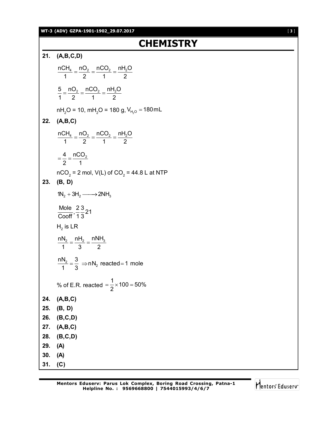#### **WT-3 (ADV) GZPA-1901-1902\_29.07.2017** [ **3** ]

# **CHEMISTRY**

**21. (A,B,C,D)**  $n$ CH $_4$   $\_$  nO $_2$   $\_$  nCO $_2$   $\_$  nH $_2$ O 1 2 1 2  $=\frac{1.02}{2}=\frac{1.002}{4}=$  $5$   $\_$  nO<sub>2</sub>  $\_$  nCO<sub>2</sub>  $\_$  nH<sub>2</sub>O 1 2 1 2  $=\frac{1182}{2}=\frac{11882}{4}=$ nH $_{2}$ O = 10, mH $_{2}$ O = 180 g, V $_{\rm H_{2}O}$  = 180mL **22. (A,B,C)**  $nCH_4$   $\_$   $nO_2$   $\_$   $nCO_2$   $\_$   $nH_2O$ 1 2 1 2  $=\frac{1182}{2}=\frac{11882}{4}=$ 4  $\_$  nCO $_2$ 2 1  $=\frac{1}{2}=\frac{1}{2}$ nCO $_2$  = 2 mol, V(L) of CO $_2$  = 44.8 L at NTP **23. (B, D)**  $1N_2 + 3H_2 \longrightarrow 2NH_3$ Mole  $\frac{23}{2}$  21  $Cooff<sub>1</sub> 1 3$  ${\sf H}_2^{}$  is LR nN $_2$   $\_$  nH $_2$   $\_$  nNH $_3$ 1 3 2  $=\frac{16}{2}$  =  $\frac{1}{2}$  $2=\frac{3}{2} \Rightarrow$ nN<sub>2</sub>  $\frac{1}{1}$  mN<sub>2</sub> reacted = 1 mole 1 3  $=\frac{3}{2} \Rightarrow$ nN<sub>2</sub> reacted=1 % of E.R. reacted  $\frac{1}{2}$  × 100 = 50% 2  $=\frac{1}{2} \times 100 = 5$ **24. (A,B,C) 25. (B, D) 26. (B,C,D) 27. (A,B,C) 28. (B,C,D) 29. (A) 30. (A) 31. (C)**

$$
\bigcap_{i=1}^{\infty} \mathsf{entors}^i \in \mathsf{G} \mathsf{user} \mathsf{v}^i
$$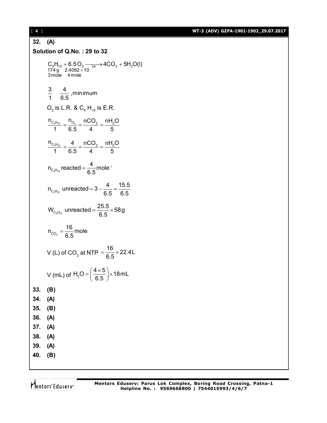[ **4** ] **WT-3 (ADV) GZPA-1901-1902\_29.07.2017**

### **32. (A) Solution of Q.No. : 29 to 32**  $\frac{1}{4}$  1<sub>10</sub>  $\frac{1}{2}$  0.0  $\frac{1}{2}$  2.4092  $\times$  10  $\frac{24}{4}$   $\frac{1}{2}$   $\frac{1}{2}$   $\frac{1}{2}$   $\frac{1}{2}$ 3 mole 4 mole  $C_4H_{10} + 6.5O_2 \longrightarrow 4CO_2 + 5H_2O(l)$  $\times$ + 6.5 O<sub>2</sub>  $\longrightarrow$  4CO<sub>2</sub> + 5  $\frac{3}{4}$   $\frac{4}{25}$ , minimum 1 6.5  $\overline{O}_2$  is L.R. &  $\overline{C}_4$  H<sub>10</sub> is E.R.  $n_{C_4H_{10}} = n_{O_2} = nCO_2 = nH_2O$ 1 6.5 4 5  $=\frac{0_2}{2_1}=\frac{11002}{4}=$  $n_{C_4H_{10}} = 4$  nCO<sub>2</sub> nH<sub>2</sub>O 1 6.5 4 5  $=\frac{1}{2.5}=\frac{10002}{1}=$  $C_4H_{10}$  $n_{\text{c.m.}}$  reacted =  $\frac{4}{3}$  mole  $=\frac{1}{6.5}$  mole '  $n_{C_4H_{10}}$  unreacted = 3 -  $\frac{4}{65}$  =  $\frac{15.5}{65}$ 6.5 6.5  $=3-\frac{1}{2}=$  $W_{C_4H_{10}}$  unreacted =  $\frac{25.5}{6.5}$   $\times$  58 g 6.5  $=\frac{\sum 0.6}{2.5}\times 5$  $n_{CO_2} = \frac{16}{6.5}$  mole 6.5  $=$ V (L) of CO<sub>2</sub> at NTP =  $\frac{16}{65}$  × 22.4L 6.5  $=\frac{18}{25} \times 2$ V (mL) of  $H_2O = \left(\frac{4 \times 5}{65}\right) \times 18$  mL 6.5  $=\left(\frac{4\times 5}{6.5}\right)\times 1$ **33. (B) 34. (A) 35. (B) 36. (A) 37. (A) 38. (A) 39. (A) 40. (B)**

Mentors Eduserv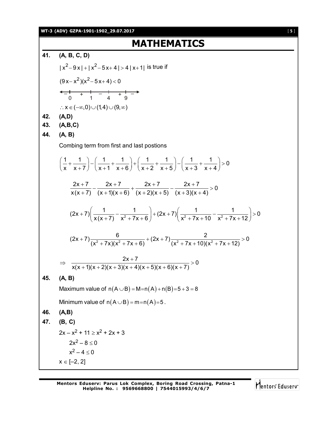**WT-3 (ADV) GZPA-1901-1902\_29.07.2017** [ **5** ]

## **MATHEMATICS**

**41. (A, B, C, D)**  $|x^2-9x|+|x^2-5x+4|>4|x+1|$  is true if  $(9x-x^2)(x^2-5x+4) < 0$  $\frac{-1}{0}$  +  $\frac{1}{1}$  -  $\frac{1}{4}$  +  $\frac{1}{9}$  - $\therefore$  X  $\in (-\infty, 0) \cup (1,4) \cup (9, \infty)$ **42. (A,D) 43. (A,B,C) 44. (A, B)** Combing term from first and last postions  $\left[\frac{1}{1} + \frac{1}{1}\right] - \left(\frac{1}{1} + \frac{1}{1}\right) + \left(\frac{1}{1} + \frac{1}{1}\right) - \left(\frac{1}{1} + \frac{1}{1}\right) > 0$ x x+7)  $(x+1 x+6)$   $(x+2 x+5)$   $(x+3 x+4)$  $\left(\frac{1}{x} + \frac{1}{x+7}\right) - \left(\frac{1}{x+1} + \frac{1}{x+6}\right) + \left(\frac{1}{x+2} + \frac{1}{x+5}\right) - \left(\frac{1}{x+3} + \frac{1}{x+4}\right) > 0$  $\frac{2x+7}{(x-2)(x-2)} - \frac{2x+7}{(x-2)(x-2)} + \frac{2x+7}{(x-2)(x-2)} - \frac{2x+7}{(x-2)(x-2)} > 0$  $x(x+7)$   $(x+1)(x+6)$   $(x+2)(x+5)$   $(x+3)(x+4)$  $\frac{+7}{2} - \frac{2x+7}{(x-1)(x-2)} + \frac{2x+7}{(x-2)(x-5)} - \frac{2x+7}{(x-2)(x-1)} > 0$  $+7$ )  $(x+1)(x+6)$   $(x+2)(x+5)$   $(x+3)(x+4)$  $(2x+7)\left(\frac{1}{x(x+7)}-\frac{1}{x^2+7x+6}\right)+(2x+7)\left(\frac{1}{x^2+7x+10}-\frac{1}{x^2+7x+12}\right)>0$  $x(x+7)$   $x^2 + 7x + 6$   $\left(x^2 + 7x + 10 \right)$   $x^2 + 7x + 12$  $+7\left(\frac{1}{x(x+7)}-\frac{1}{x^2+7x+6}\right)+(2x+7)\left(\frac{1}{x^2+7x+10}-\frac{1}{x^2+7x+12}\right) > 0$  $(2x+7)\frac{6}{(x^2+7x)(x^2+7x+6)}$  +  $(2x+7)\frac{2}{(x^2+7x+40)(x^2+7x+12)}$  > 0  $(x^{2} + 7x)(x^{2} + 7x + 6)$   $(x^{2} + 7x + 10)(x^{2} + 7x + 12)$  $+7)$   $+7)$  $+7x(x^2+7x+6)$   $(x^2+7x+10)(x^2+7x+1)$  $\frac{2x+7}{(x-1)(x-5)^2} > 0$  $x(x + 1)(x + 2)(x + 3)(x + 4)(x + 5)(x + 6)(x + 7)$  $\Rightarrow \frac{2x+7}{(x-2)(x-2)(x-1)(x-5)(x-2)(x-7)} > 0$  $+ 1(x + 2)(x + 3)(x + 4)(x + 5)(x + 6)(x + 7)$ **45. (A, B)** Maximum value of  $n(A \cup B) = M = n(A) + n(B) = 5 + 3 = 8$ Minimum value of  $n(A \cup B) = m = n(A) = 5$ . **46. (A,B) 47. (B, C)**  $2x - x^2 + 11 > x^2 + 2x + 3$  $2x^2 - 8 < 0$  $x^2 - 4 \le 0$  $x \in [-2, 2]$ 

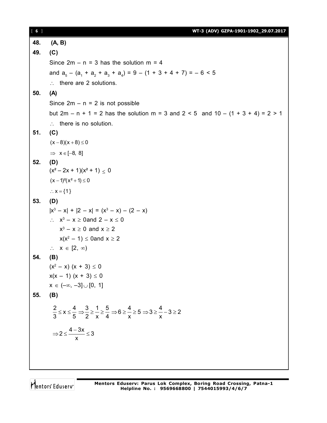[ **6** ] **WT-3 (ADV) GZPA-1901-1902\_29.07.2017 48. (A, B) 49. (C)** Since  $2m - n = 3$  has the solution  $m = 4$ and  $a_5 - (a_1 + a_2 + a_3 + a_4) = 9 - (1 + 3 + 4 + 7) = -6 < 5$  $\therefore$  there are 2 solutions. **50. (A)** Since  $2m - n = 2$  is not possible but  $2m - n + 1 = 2$  has the solution  $m = 3$  and  $2 < 5$  and  $10 - (1 + 3 + 4) = 2 > 1$  $\therefore$  there is no solution. **51. (C)**  $(x-8)(x+8) \le 0$  $\Rightarrow$   $x \in [-8, 8]$ **52. (D)**  $(x^2-2x+1)(x^2+1) < 0$  $(x - 1)^2(x^2 + 1) \le 0$  $\therefore$   $x = \{1\}$ **53. (D)**  $|x^3 - x| + |2 - x| = (x^3 - x) - (2 - x)$  $\therefore$   $x^3 - x \ge 0$  and  $2 - x \le 0$  $x^3 - x \ge 0$  and  $x \ge 2$  $x(x^2 - 1) \leq 0$ and  $x \geq 2$  $\therefore$   $X \in [2, \infty)$ **54. (B)**  $(x^2 - x) (x + 3) \le 0$  $x(x - 1) (x + 3) \le 0$  $x \in (-\infty, -3] \cup [0, 1]$ **55. (B)**  $\frac{2}{3} \le x \le \frac{4}{5} \Rightarrow \frac{3}{2} \ge \frac{1}{2} \ge \frac{5}{4} \Rightarrow 6 \ge -25 \Rightarrow 3 \ge -3 \ge 2$ 3 5 2 x 4 x x  $\leq x \leq -\Rightarrow -\geq -\geq -\geq -\geq 6\geq -\geq 5\Rightarrow 3\geq -3\geq 2$  $2 \leq \frac{4-3x}{3} \leq 3$ x  $\Rightarrow$  2  $\leq$   $\frac{4-3x}{3} \leq$  3

Mentors Eduserv